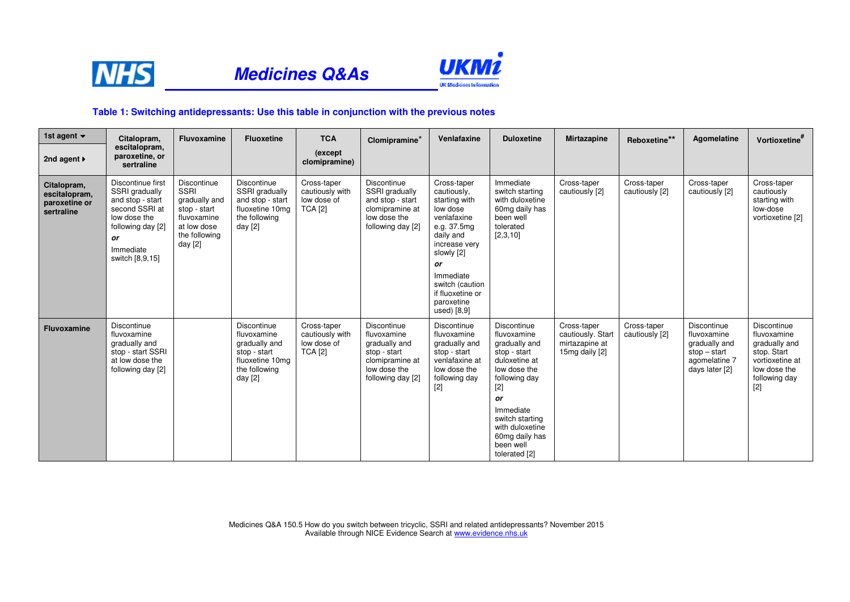

## **Medicines Q&As**



## **Table 1: Switching antidepressants: Use this table in conjunction with the previous notes**

| 1st agent $\blacktriangledown$                              | Citalopram,                                                                                                                                          | Fluvoxamine                                                                                                                    | <b>Fluoxetine</b>                                                                                          | <b>TCA</b>                                                      | Clomipramine <sup>*</sup>                                                                                           | Venlafaxine                                                                                                                                                                                                              | <b>Duloxetine</b>                                                                                                                                                                                                                      | <b>Mirtazapine</b>                                                   | Reboxetine**                  | Agomelatine                                                                                      | Vortioxetine <sup>#</sup>                                                                                               |
|-------------------------------------------------------------|------------------------------------------------------------------------------------------------------------------------------------------------------|--------------------------------------------------------------------------------------------------------------------------------|------------------------------------------------------------------------------------------------------------|-----------------------------------------------------------------|---------------------------------------------------------------------------------------------------------------------|--------------------------------------------------------------------------------------------------------------------------------------------------------------------------------------------------------------------------|----------------------------------------------------------------------------------------------------------------------------------------------------------------------------------------------------------------------------------------|----------------------------------------------------------------------|-------------------------------|--------------------------------------------------------------------------------------------------|-------------------------------------------------------------------------------------------------------------------------|
| 2nd agent $\blacktriangleright$                             | escitalopram.<br>paroxetine, or<br>sertraline                                                                                                        |                                                                                                                                |                                                                                                            | (except)<br>clomipramine)                                       |                                                                                                                     |                                                                                                                                                                                                                          |                                                                                                                                                                                                                                        |                                                                      |                               |                                                                                                  |                                                                                                                         |
| Citalopram,<br>escitalopram,<br>paroxetine or<br>sertraline | Discontinue first<br>SSRI gradually<br>and stop - start<br>second SSRI at<br>low dose the<br>following day [2]<br>or<br>Immediate<br>switch [8,9,15] | <b>Discontinue</b><br><b>SSRI</b><br>gradually and<br>stop - start<br>fluvoxamine<br>at low dose<br>the following<br>day $[2]$ | Discontinue<br>SSRI gradually<br>and stop - start<br>fluoxetine 10mg<br>the following<br>day [2]           | Cross-taper<br>cautiously with<br>low dose of<br><b>TCA [2]</b> | Discontinue<br>SSRI gradually<br>and stop - start<br>clomipramine at<br>low dose the<br>following day [2]           | Cross-taper<br>cautiously,<br>starting with<br>low dose<br>venlafaxine<br>e.g. 37.5mg<br>daily and<br>increase very<br>slowly [2]<br>or<br>Immediate<br>switch (caution<br>if fluoxetine or<br>paroxetine<br>used) [8,9] | Immediate<br>switch starting<br>with duloxetine<br>60mg daily has<br>been well<br>tolerated<br>[2,3,10]                                                                                                                                | Cross-taper<br>cautiously [2]                                        | Cross-taper<br>cautiously [2] | Cross-taper<br>cautiously [2]                                                                    | Cross-taper<br>cautiously<br>starting with<br>low-dose<br>vortioxetine [2]                                              |
| Fluvoxamine                                                 | Discontinue<br>fluvoxamine<br>gradually and<br>stop - start SSRI<br>at low dose the<br>following day [2]                                             |                                                                                                                                | Discontinue<br>fluvoxamine<br>gradually and<br>stop - start<br>fluoxetine 10mg<br>the following<br>day [2] | Cross-taper<br>cautiously with<br>low dose of<br><b>TCA</b> [2] | Discontinue<br>fluvoxamine<br>gradually and<br>stop - start<br>clomipramine at<br>low dose the<br>following day [2] | Discontinue<br>fluvoxamine<br>gradually and<br>stop - start<br>venlafaxine at<br>low dose the<br>following day<br>$[2]$                                                                                                  | <b>Discontinue</b><br>fluvoxamine<br>gradually and<br>stop - start<br>duloxetine at<br>low dose the<br>following day<br>$[2]$<br>or<br>Immediate<br>switch starting<br>with duloxetine<br>60mg daily has<br>been well<br>tolerated [2] | Cross-taper<br>cautiously. Start<br>mirtazapine at<br>15mg daily [2] | Cross-taper<br>cautiously [2] | Discontinue<br>fluvoxamine<br>gradually and<br>$stop - start$<br>agomelatine 7<br>days later [2] | Discontinue<br>fluvoxamine<br>gradually and<br>stop. Start<br>vortioxetine at<br>low dose the<br>following day<br>$[2]$ |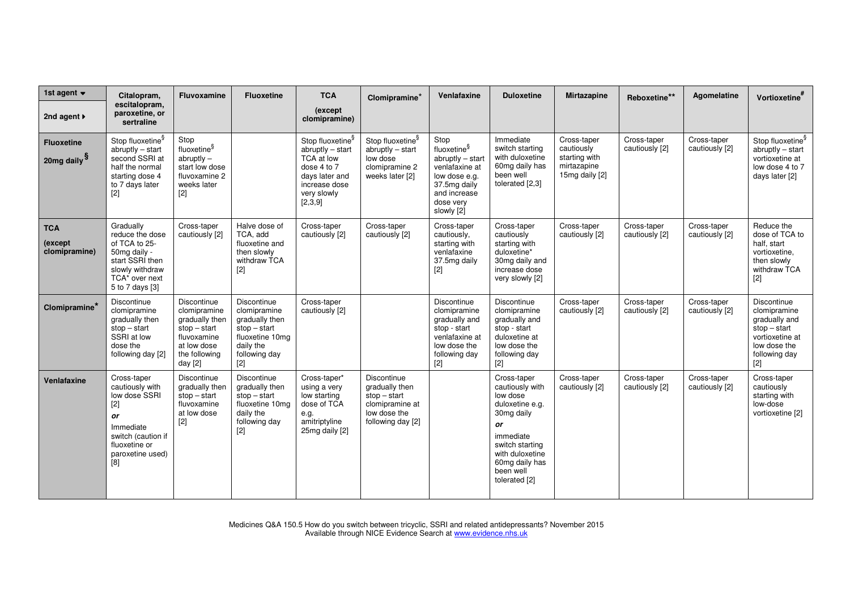| 1st agent $\blacktriangledown$               | Citalopram,                                                                                                                                   | Fluvoxamine                                                                                                                 | <b>Fluoxetine</b>                                                                                                         | <b>TCA</b>                                                                                                                                   | Clomipramine <sup>*</sup>                                                                               | Venlafaxine                                                                                                                                       | <b>Duloxetine</b>                                                                                                                                                                    | Mirtazapine                                                                 | Reboxetine**                  | Agomelatine                   | Vortioxetine <sup>#</sup>                                                                                                   |
|----------------------------------------------|-----------------------------------------------------------------------------------------------------------------------------------------------|-----------------------------------------------------------------------------------------------------------------------------|---------------------------------------------------------------------------------------------------------------------------|----------------------------------------------------------------------------------------------------------------------------------------------|---------------------------------------------------------------------------------------------------------|---------------------------------------------------------------------------------------------------------------------------------------------------|--------------------------------------------------------------------------------------------------------------------------------------------------------------------------------------|-----------------------------------------------------------------------------|-------------------------------|-------------------------------|-----------------------------------------------------------------------------------------------------------------------------|
| 2nd agent ▶                                  | escitalopram,<br>paroxetine, or<br>sertraline                                                                                                 |                                                                                                                             |                                                                                                                           | (except)<br>clomipramine)                                                                                                                    |                                                                                                         |                                                                                                                                                   |                                                                                                                                                                                      |                                                                             |                               |                               |                                                                                                                             |
| <b>Fluoxetine</b><br>20mg daily <sup>§</sup> | Stop fluoxetine <sup>§</sup><br>$abruptly - start$<br>second SSRI at<br>half the normal<br>starting dose 4<br>to 7 days later                 | Stop<br>fluoxetine <sup>§</sup><br>$abruptly -$<br>start low dose<br>fluvoxamine 2<br>weeks later<br>[2]                    |                                                                                                                           | Stop fluoxetine <sup>§</sup><br>$abruptly - start$<br>TCA at low<br>dose 4 to 7<br>days later and<br>increase dose<br>very slowly<br>[2,3,9] | Stop fluoxetine <sup>§</sup><br>$abruptly - start$<br>low dose<br>clomipramine 2<br>weeks later [2]     | Stop<br>fluoxetine <sup>§</sup><br>abruptly - start<br>venlafaxine at<br>low dose e.g.<br>37.5mg daily<br>and increase<br>dose very<br>slowly [2] | Immediate<br>switch starting<br>with duloxetine<br>60mg daily has<br>been well<br>tolerated [2,3]                                                                                    | Cross-taper<br>cautiously<br>starting with<br>mirtazapine<br>15mg daily [2] | Cross-taper<br>cautiously [2] | Cross-taper<br>cautiously [2] | Stop fluoxetine <sup>§</sup><br>$abruptly - start$<br>vortioxetine at<br>low dose 4 to 7<br>days later [2]                  |
| <b>TCA</b><br>(except<br>clomipramine)       | Gradually<br>reduce the dose<br>of TCA to 25-<br>50mg daily -<br>start SSRI then<br>slowly withdraw<br>TCA* over next<br>5 to 7 days [3]      | Cross-taper<br>cautiously [2]                                                                                               | Halve dose of<br>TCA, add<br>fluoxetine and<br>then slowly<br>withdraw TCA<br>$[2]$                                       | Cross-taper<br>cautiously [2]                                                                                                                | Cross-taper<br>cautiously [2]                                                                           | Cross-taper<br>cautiously,<br>starting with<br>venlafaxine<br>37.5mg daily<br>$[2]$                                                               | Cross-taper<br>cautiously<br>starting with<br>duloxetine*<br>30mg daily and<br>increase dose<br>very slowly [2]                                                                      | Cross-taper<br>cautiously [2]                                               | Cross-taper<br>cautiously [2] | Cross-taper<br>cautiously [2] | Reduce the<br>dose of TCA to<br>half, start<br>vortioxetine,<br>then slowly<br>withdraw TCA<br>$[2]$                        |
| Clomipramine*                                | Discontinue<br>clomipramine<br>gradually then<br>$stop - start$<br>SSRI at low<br>dose the<br>following day [2]                               | Discontinue<br>clomipramine<br>gradually then<br>$stop - start$<br>fluvoxamine<br>at low dose<br>the following<br>day $[2]$ | Discontinue<br>clomipramine<br>gradually then<br>$stop - start$<br>fluoxetine 10mg<br>daily the<br>following day<br>$[2]$ | Cross-taper<br>cautiously [2]                                                                                                                |                                                                                                         | Discontinue<br>clomipramine<br>gradually and<br>stop - start<br>venlafaxine at<br>low dose the<br>following day<br>$[2]$                          | Discontinue<br>clomipramine<br>gradually and<br>stop - start<br>duloxetine at<br>low dose the<br>following day<br>$[2]$                                                              | Cross-taper<br>cautiously [2]                                               | Cross-taper<br>cautiously [2] | Cross-taper<br>cautiously [2] | Discontinue<br>clomipramine<br>gradually and<br>$stop - start$<br>vortioxetine at<br>low dose the<br>following day<br>$[2]$ |
| Venlafaxine                                  | Cross-taper<br>cautiously with<br>low dose SSRI<br>$[2]$<br>or<br>Immediate<br>switch (caution if<br>fluoxetine or<br>paroxetine used)<br>[8] | Discontinue<br>gradually then<br>$stop - start$<br>fluvoxamine<br>at low dose<br>$[2]$                                      | Discontinue<br>gradually then<br>$stop - start$<br>fluoxetine 10mg<br>daily the<br>following day<br>$[2]$                 | Cross-taper*<br>using a very<br>low starting<br>dose of TCA<br>e.g.<br>amitriptyline<br>25mg daily [2]                                       | Discontinue<br>gradually then<br>$stop - start$<br>clomipramine at<br>low dose the<br>following day [2] |                                                                                                                                                   | Cross-taper<br>cautiously with<br>low dose<br>duloxetine e.g.<br>30mg daily<br>or<br>immediate<br>switch starting<br>with duloxetine<br>60mg daily has<br>been well<br>tolerated [2] | Cross-taper<br>cautiously [2]                                               | Cross-taper<br>cautiously [2] | Cross-taper<br>cautiously [2] | Cross-taper<br>cautiously<br>starting with<br>low-dose<br>vortioxetine [2]                                                  |